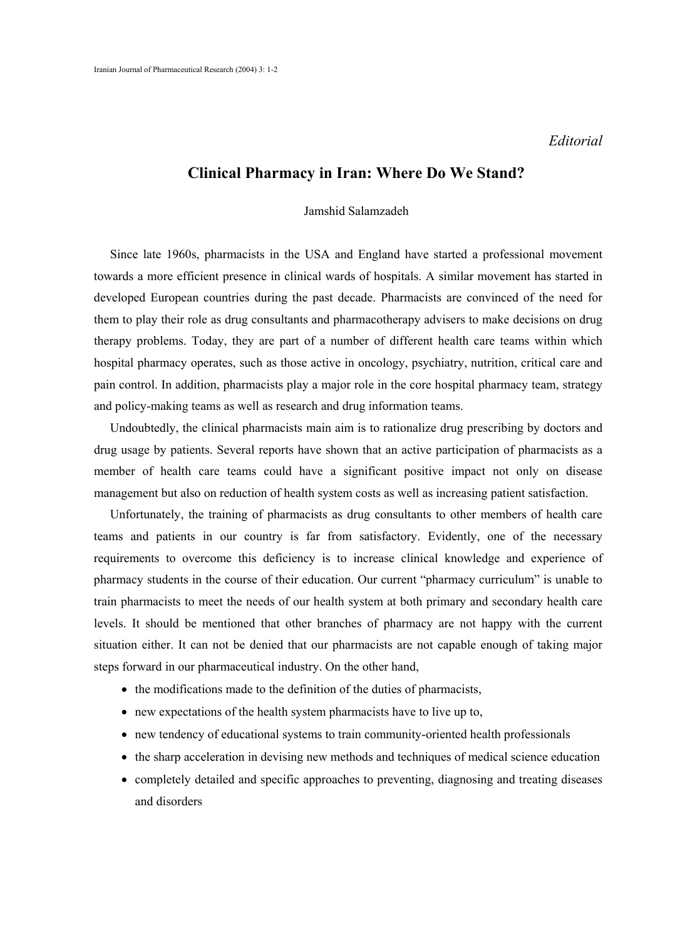## *Editorial*

## **Clinical Pharmacy in Iran: Where Do We Stand?**

## Jamshid Salamzadeh

Since late 1960s, pharmacists in the USA and England have started a professional movement towards a more efficient presence in clinical wards of hospitals. A similar movement has started in developed European countries during the past decade. Pharmacists are convinced of the need for them to play their role as drug consultants and pharmacotherapy advisers to make decisions on drug therapy problems. Today, they are part of a number of different health care teams within which hospital pharmacy operates, such as those active in oncology, psychiatry, nutrition, critical care and pain control. In addition, pharmacists play a major role in the core hospital pharmacy team, strategy and policy-making teams as well as research and drug information teams.

Undoubtedly, the clinical pharmacists main aim is to rationalize drug prescribing by doctors and drug usage by patients. Several reports have shown that an active participation of pharmacists as a member of health care teams could have a significant positive impact not only on disease management but also on reduction of health system costs as well as increasing patient satisfaction.

Unfortunately, the training of pharmacists as drug consultants to other members of health care teams and patients in our country is far from satisfactory. Evidently, one of the necessary requirements to overcome this deficiency is to increase clinical knowledge and experience of pharmacy students in the course of their education. Our current "pharmacy curriculum" is unable to train pharmacists to meet the needs of our health system at both primary and secondary health care levels. It should be mentioned that other branches of pharmacy are not happy with the current situation either. It can not be denied that our pharmacists are not capable enough of taking major steps forward in our pharmaceutical industry. On the other hand,

- the modifications made to the definition of the duties of pharmacists,
- new expectations of the health system pharmacists have to live up to,
- new tendency of educational systems to train community-oriented health professionals
- the sharp acceleration in devising new methods and techniques of medical science education
- completely detailed and specific approaches to preventing, diagnosing and treating diseases and disorders